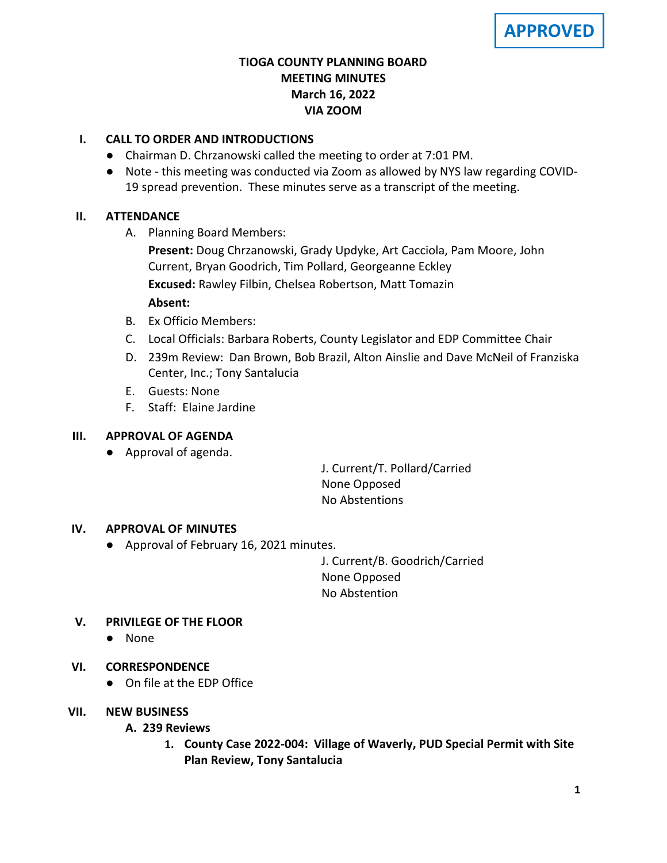## **TIOGA COUNTY PLANNING BOARD MEETING MINUTES March 16, 2022 VIA ZOOM**

## **I. CALL TO ORDER AND INTRODUCTIONS**

- Chairman D. Chrzanowski called the meeting to order at 7:01 PM.
- Note this meeting was conducted via Zoom as allowed by NYS law regarding COVID-19 spread prevention. These minutes serve as a transcript of the meeting.

### **II. ATTENDANCE**

A. Planning Board Members:

**Present:** Doug Chrzanowski, Grady Updyke, Art Cacciola, Pam Moore, John Current, Bryan Goodrich, Tim Pollard, Georgeanne Eckley **Excused:** Rawley Filbin, Chelsea Robertson, Matt Tomazin

## **Absent:**

- B. Ex Officio Members:
- C. Local Officials: Barbara Roberts, County Legislator and EDP Committee Chair
- D. 239m Review: Dan Brown, Bob Brazil, Alton Ainslie and Dave McNeil of Franziska Center, Inc.; Tony Santalucia
- E. Guests: None
- F. Staff: Elaine Jardine

### **III. APPROVAL OF AGENDA**

● Approval of agenda.

J. Current/T. Pollard/Carried None Opposed No Abstentions

# **IV. APPROVAL OF MINUTES**

● Approval of February 16, 2021 minutes.

J. Current/B. Goodrich/Carried None Opposed No Abstention

# **V. PRIVILEGE OF THE FLOOR**

● None

# **VI. CORRESPONDENCE**

● On file at the EDP Office

### **VII. NEW BUSINESS**

### **A. A. 239 Reviews**

**1. County Case 2022-004: Village of Waverly, PUD Special Permit with Site Plan Review, Tony Santalucia**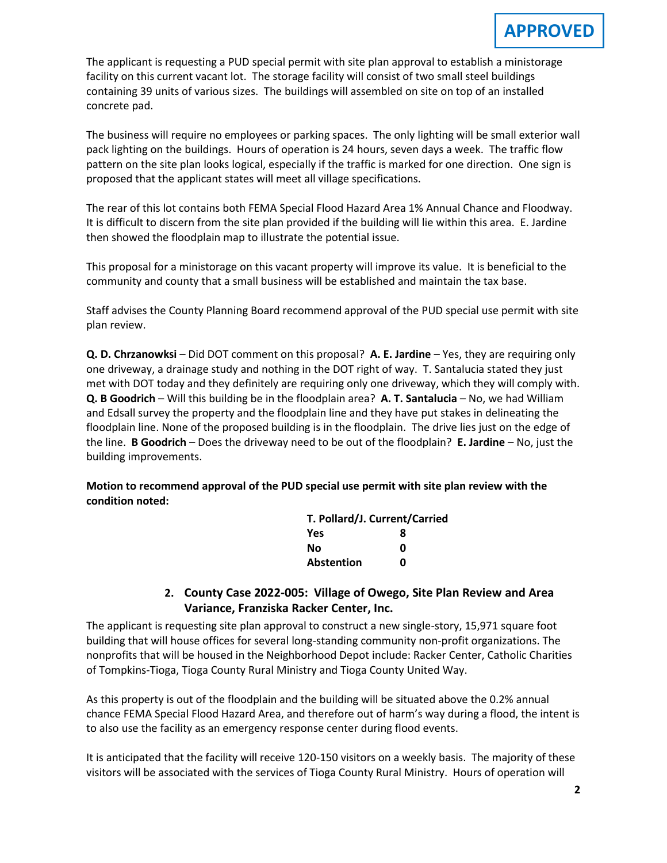The applicant is requesting a PUD special permit with site plan approval to establish a ministorage facility on this current vacant lot. The storage facility will consist of two small steel buildings containing 39 units of various sizes. The buildings will assembled on site on top of an installed concrete pad.

The business will require no employees or parking spaces. The only lighting will be small exterior wall pack lighting on the buildings. Hours of operation is 24 hours, seven days a week. The traffic flow pattern on the site plan looks logical, especially if the traffic is marked for one direction. One sign is proposed that the applicant states will meet all village specifications.

The rear of this lot contains both FEMA Special Flood Hazard Area 1% Annual Chance and Floodway. It is difficult to discern from the site plan provided if the building will lie within this area. E. Jardine then showed the floodplain map to illustrate the potential issue.

This proposal for a ministorage on this vacant property will improve its value. It is beneficial to the community and county that a small business will be established and maintain the tax base.

Staff advises the County Planning Board recommend approval of the PUD special use permit with site plan review.

**Q. D. Chrzanowksi** – Did DOT comment on this proposal? **A. E. Jardine** – Yes, they are requiring only one driveway, a drainage study and nothing in the DOT right of way. T. Santalucia stated they just met with DOT today and they definitely are requiring only one driveway, which they will comply with. **Q. B Goodrich** – Will this building be in the floodplain area? **A. T. Santalucia** – No, we had William and Edsall survey the property and the floodplain line and they have put stakes in delineating the floodplain line. None of the proposed building is in the floodplain. The drive lies just on the edge of the line. **B Goodrich** – Does the driveway need to be out of the floodplain? **E. Jardine** – No, just the building improvements.

**Motion to recommend approval of the PUD special use permit with site plan review with the condition noted:**

| T. Pollard/J. Current/Carried |   |
|-------------------------------|---|
| <b>Yes</b>                    | 8 |
| No                            | n |
| Abstention                    | n |

### **2. County Case 2022-005: Village of Owego, Site Plan Review and Area Variance, Franziska Racker Center, Inc.**

The applicant is requesting site plan approval to construct a new single-story, 15,971 square foot building that will house offices for several long-standing community non-profit organizations. The nonprofits that will be housed in the Neighborhood Depot include: Racker Center, Catholic Charities of Tompkins-Tioga, Tioga County Rural Ministry and Tioga County United Way.

As this property is out of the floodplain and the building will be situated above the 0.2% annual chance FEMA Special Flood Hazard Area, and therefore out of harm's way during a flood, the intent is to also use the facility as an emergency response center during flood events.

It is anticipated that the facility will receive 120-150 visitors on a weekly basis. The majority of these visitors will be associated with the services of Tioga County Rural Ministry. Hours of operation will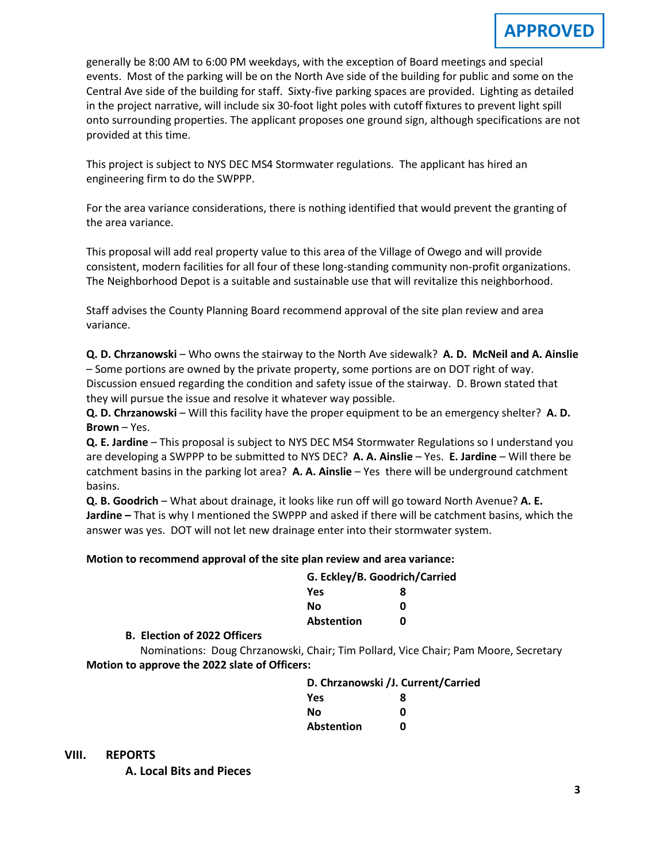generally be 8:00 AM to 6:00 PM weekdays, with the exception of Board meetings and special events. Most of the parking will be on the North Ave side of the building for public and some on the Central Ave side of the building for staff. Sixty-five parking spaces are provided. Lighting as detailed in the project narrative, will include six 30-foot light poles with cutoff fixtures to prevent light spill onto surrounding properties. The applicant proposes one ground sign, although specifications are not provided at this time.

This project is subject to NYS DEC MS4 Stormwater regulations. The applicant has hired an engineering firm to do the SWPPP.

For the area variance considerations, there is nothing identified that would prevent the granting of the area variance.

This proposal will add real property value to this area of the Village of Owego and will provide consistent, modern facilities for all four of these long-standing community non-profit organizations. The Neighborhood Depot is a suitable and sustainable use that will revitalize this neighborhood.

Staff advises the County Planning Board recommend approval of the site plan review and area variance.

**Q. D. Chrzanowski** – Who owns the stairway to the North Ave sidewalk? **A. D. McNeil and A. Ainslie** – Some portions are owned by the private property, some portions are on DOT right of way. Discussion ensued regarding the condition and safety issue of the stairway. D. Brown stated that they will pursue the issue and resolve it whatever way possible.

**Q. D. Chrzanowski** – Will this facility have the proper equipment to be an emergency shelter? **A. D. Brown** – Yes.

**Q. E. Jardine** – This proposal is subject to NYS DEC MS4 Stormwater Regulations so I understand you are developing a SWPPP to be submitted to NYS DEC? **A. A. Ainslie** – Yes. **E. Jardine** – Will there be catchment basins in the parking lot area? **A. A. Ainslie** – Yes there will be underground catchment basins.

**Q. B. Goodrich** – What about drainage, it looks like run off will go toward North Avenue? **A. E. Jardine –** That is why I mentioned the SWPPP and asked if there will be catchment basins, which the answer was yes. DOT will not let new drainage enter into their stormwater system.

#### **Motion to recommend approval of the site plan review and area variance:**

| G. Eckley/B. Goodrich/Carried |   |  |
|-------------------------------|---|--|
| <b>Yes</b>                    | 8 |  |
| Nο                            | n |  |
| Abstention                    | U |  |

**B. B. Election of 2022 Officers**

Nominations: Doug Chrzanowski, Chair; Tim Pollard, Vice Chair; Pam Moore, Secretary **Motion to approve the 2022 slate of Officers:**

| D. Chrzanowski / J. Current/Carried |   |  |
|-------------------------------------|---|--|
| <b>Yes</b>                          | я |  |
| No                                  | ŋ |  |
| <b>Abstention</b>                   | n |  |

**VIII. REPORTS**

**A. A. Local Bits and Pieces**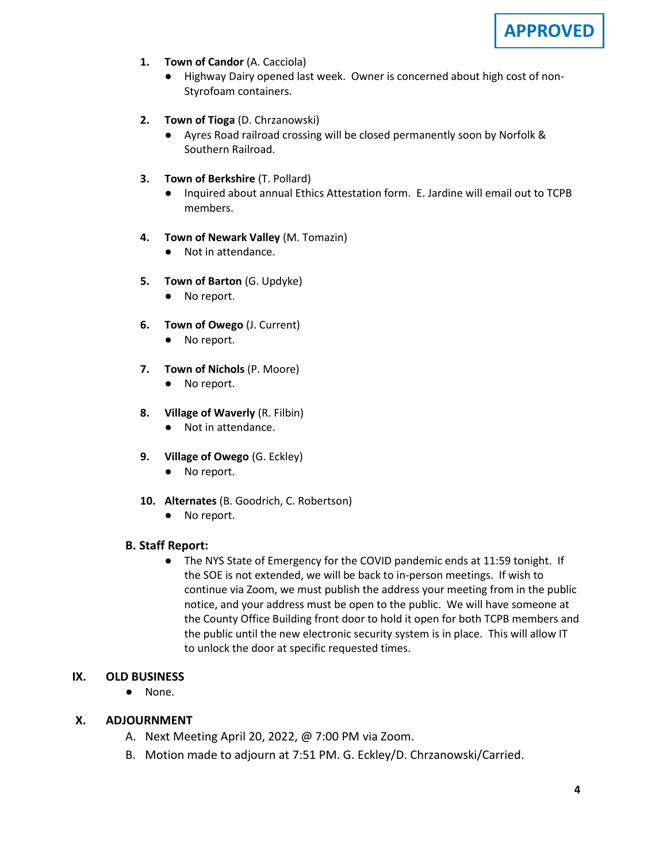

- **1. Town of Candor** (A. Cacciola)
	- Highway Dairy opened last week. Owner is concerned about high cost of non-Styrofoam containers.
- **2. Town of Tioga** (D. Chrzanowski)
	- Ayres Road railroad crossing will be closed permanently soon by Norfolk & Southern Railroad.
- **3. Town of Berkshire** (T. Pollard)
	- Inquired about annual Ethics Attestation form. E. Jardine will email out to TCPB members.
- **4. Town of Newark Valley** (M. Tomazin)
	- Not in attendance.
- **5. Town of Barton** (G. Updyke)
	- No report.
- **6. Town of Owego** (J. Current)
	- No report.
- **7. Town of Nichols** (P. Moore)
	- No report.
- **8. Village of Waverly** (R. Filbin)
	- Not in attendance.
- **9. Village of Owego** (G. Eckley)
	- No report.
- **10. Alternates** (B. Goodrich, C. Robertson)
	- No report.

#### **B. Staff Report:**

● The NYS State of Emergency for the COVID pandemic ends at 11:59 tonight. If the SOE is not extended, we will be back to in-person meetings. If wish to continue via Zoom, we must publish the address your meeting from in the public notice, and your address must be open to the public. We will have someone at the County Office Building front door to hold it open for both TCPB members and the public until the new electronic security system is in place. This will allow IT to unlock the door at specific requested times.

#### **IX. OLD BUSINESS**

● None.

#### **X. ADJOURNMENT**

- A. Next Meeting April 20, 2022, @ 7:00 PM via Zoom.
- B. Motion made to adjourn at 7:51 PM. G. Eckley/D. Chrzanowski/Carried.